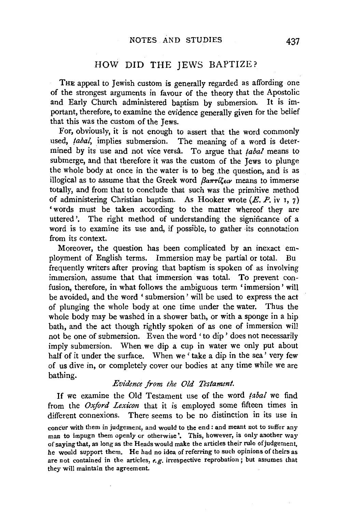# HOW DID THE JEWS BAPTIZE?

THE appeal to Jewish custom is generally regarded as affording one of the strongest arguments in favour of the theory that the Apostolic and Early Church administered baptism by submersion. It is important, therefore, to examine the evidence generally given for the belief that this was the custom of the Jews.

For, obviously, it is not enough to assert that the word commonly used, *tabal*, implies submersion. The meaning of a word is determined by its use and not vice versâ. To argue that *tabal* means to submerge, and that therefore it was the custom of the Jews to plunge the whole body at once in the water is to beg ,the question, and is as illogical as to assume that the Greek word  $\beta_{\alpha\pi\tau\ell\ell\epsilon\nu}$  means to immerse totally, and from that to conclude that such was the primitive method of administering Christian baptism. As Hooker wrote  $(E, P, i\nu, \tau)$ ' words must be taken according to the matter whereof they are uttered'. The right method of understanding the significance of a word is to examine its use and, if possible, to gather its connotation from its context.

Moreover, the question has been complicated by an inexact employment of English terms. Immersion may be partial or total. Bu frequently writers after proving that baptism is spoken of as involving immersion, assume that that immersion was total. To prevent confusion, therefore, in what follows the ambiguous term 'immersion ' will be avoided, and the word ' submersion' will be used to express the act of plunging the whole body at one time under the water. Thus the whole body may be washed in a shower bath, or with a sponge in a hip bath, and the act though rightly spoken of as one of immersion will not be one of submersion. Even the word ' to dip ' does not necessarily imply submersion. When we dip a cup in water we only put about half of it under the surface. When we 'take a dip in the sea' very few of us dive in, or completely cover our bodies at any time while we are bathing.

#### *Evidence from the Old Testament.*

If we examine the Old Testament use of the word *!abal* we find from the *Oxford Lexicon* that it is employed some fifteen times in different connexions. There seems to be no distinction in its use in

concur with them in judgement, and would to the end: and meant not to suffer any man to impugn them openly or otherwise'. This, however, is only another way of saying that, as long as the Heads would make the articles their rule of judgement, he would support them, He had no idea of referring to such opinions of theirs as are not contained in the articles, *e.g.* irrespective reprobation; but assumes that they will maintain the agreement.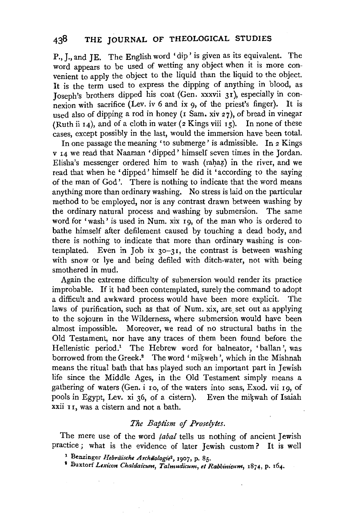P., J., and **JE.** The English word 'dip' is given as its equivalent. The word appears to be used of wetting any object when it is more convenient to apply the object to the liquid than the liquid to the object. It is the term used to express the dipping of anything in blood, as Joseph's brothers dipped his coat (Gen. xxxvii 31 ), especially in connexion with sacrifice (Lev. iv 6 and ix 9, of the priest's finger). It is used also of dipping a rod in honey (1 Sam. xiv 27), of bread in vinegar (Ruth ii 14), and of a cloth in water (2 Kings viii 15). In none of these cases, except possibly in the last, would the immersion have been total.

In one passage the meaning ' to submerge' is admissible. In 2 Kings v 14 we read that Naaman 'dipped' himself seven times in the Jordan. Elisha's messenger ordered him to wash (rahaz) in the river, and we read that when he 'dipped ' himself he did it 'according to the saying of the man of God'. There is nothing to indicate that the word means anything more than ordinary washing. No stress is laid on the particular method to be employed, nor is any contrast drawn between washing by the ordinary natural process and washing by submersion. The same word for 'wash' is used in Num. xix 19, of the man who is ordered to bathe himself after defilement caused by touching a dead body, and there is nothing to indicate that more than ordinary washing is contemplated. Even in Job ix  $30-31$ , the contrast is between washing with snow or lye and being defiled with ditch-water, not with being smothered in mud.

Again the extreme difficulty of submersion would render its practice improbable. If it had been contemplated, surely the command to adopt a difficult and awkward process would have been more explicit. The laws of purification, such as that of Num. xix, are set out as applying to the sojourn in the Wilderness, where submersion would have been almost impossible. Moreover, we read of no structural baths in the Old Testament, nor have any traces of them been found before the Hellenistic period.<sup>1</sup> The Hebrew word for balneator, 'ballan', was borrowed from the Greek.<sup>2</sup> The word 'mikweh', which in the Mishnah means the ritual bath that has played such an important part in Jewish life since the Middle Ages, in the Old Testament simply means a gathering of waters (Gen. i 10, of the waters into seas, Exod. vii 19, of pools in Egypt, Lev. xi 36, of a cistern). Even the mikwah of Isaiah xxii 11, was a cistern and not a bath.

### *The Baptism* of *Proselytes.*

The mere use of the word *tabal* tells us nothing of ancient Jewish practice ; what is the evidence of later Jewish custom ? It is well

- 
- 1 Benzinger *Hebriiische Archtiologie2,* 1907, p. 85. 1 Buxtorf *Lexicon Chaldaicum, Talmudicum, et Rabbinicum,* 1874, p. 164.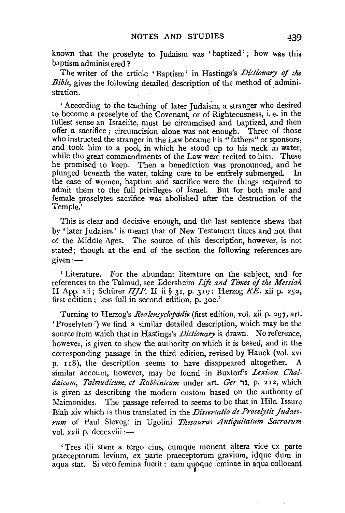known that the proselyte to Judaism was 'baptized'; how was this baptism administered?

The writer of the article ' Baptism' in Hastings's *Dictionary* of *the Bible,* gives the following detailed description of the method of administration.

'According to the teaching of later Judaism, a stranger who desired to become a proselyte of the Covenant, or of Righteousness, 1. e. m the fullest sense an Israelite, must be circumcised and baptized, and then offer a sacrifice; circumcision alone was not enough. Three of those who instructed the stranger in the Law became his "fathers" or sponsors, and took him to a pool, in which he stood up to his neck in water, while the great commandments of the Law were recited to him. These he promised to keep. Then a benediction was pronounced, and he plunged beneath the water, taking care to be entirely submerged. In the case of women, baptism arid sacrifice were the things required to admit them to the full privileges of Israel. But for both male and female proselytes sacrifice was abolished after the destruction of the Temple.'

This is clear and decisive enough, and the last sentence shews that by 'later Judaism' is meant that of New Testament times and not that of the Middle Ages. The source of this description, however, is not stated; though at the end of the section the following references are  $given :=$ 

' Literature. For the abundant literature on the subject, and for references to the Talmud, see Edersheim *Life and Times of the Messiah* II App. xii; Schiirer *HJP.* II ii § 31, p. 319: Herzog *RE.* xii p. 250, first edition ; less full in second edition, p. 3oo.'

Turning to Herzog's *Realencyclopiidie* (first edition, vol. xii p. 297, art. ' Proselyten ') we find a similar detailed description, which may be the source from which that in Hastings's *Dictionary* is drawn. No reference, however, is given to shew the authority on which it is based, and in the corresponding passage in the third edition, revised by Hauck (vol. xvi p. rr8), the description seems to have disappeared altogether. A similar account, however, may be found in Buxtorf's *Lexicon Chaldaicum, Talmudicum, et Rabbinicum* under art. *Ger* גר p. 212, which is given as describing the modern custom based on the authority of Maimonides. The passage referred to seems to be that in Rile. Issure Biah xiv which is thus translated in the *Dissertatio de Proselytis Judaeo* $rum$  of Paul Slevogt in Ugolini *Thesaurus Antiquitatum Sacrarum* vol. xxii p. dcccxviii :-

' Tres illi stant a tergo eius, eumque monent altera vice ex parte praeceptorum levium, ex parte praeceptorum gravium, idque dum in aqua stat. Si vero femina fuerit : eam quoque feminae in aqua collocant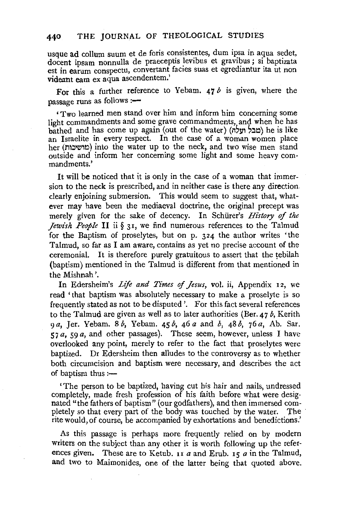# **440** THE JOURNAL OF THEOLOGICAL STUDIES

usque ad collum suum et de foris consistentes, dum ipsa in aqua sedet, docent ipsam nonnulla de praeceptis levibus et gravibus; si baptizata est in earum conspectu, convertant facies suas et egrediantur ita ut non videant eam ex aqua ascendentem.'

For this a further reference to Yebam. *41 b* is given, where the passage runs as follows :-

'Two learned men stand over him and inform him concerning some light commandments and some grave commandments, and when he has bathed and has come up again (out of the water) (סבל תעלה) he is like an Israelite in every respect. In the case of a woman women place her (מושיכות) into the water up to the neck, and two wise men stand outside and inform her concerning some light and some heavy commandments.'

It will be noticed that it is only in the case of a woman that immersion to the neck is prescribed, and in neither case is there any direction clearly enjoining submersion. This would seem to suggest that, whatever may have been the mediaeval doctrine, the original precept was merely given for the sake of decency. In Schiirer's *History of the Jewish People* II ii § 3I, we find numerous references to the Talmud for the Baptism of proselytes, but on p. 324 the author writes 'the Talmud, so far as I am aware, contains as yet no precise account of the ceremonial. It is therefore purely gratuitous to assert that the tebilah (baptism) mentioned in the Talmud is different from that mentioned in the Mishnah'.

In Edersheim's *Life and Times of Jesus*, vol. ii, Appendix 12, we read 'that baptism was absolutely necessary to make a proselyte is so frequently stated as not to be disputed'. For this fact several references to the Talmud are given as well as to later authorities (Ber.  $47 b$ , Kerith *9a,* Jer. Yebam. *Sb,* Yebam. *45b, 46a* and *b, 48b, 76a,* Ab. Sar. 57 *a,* 59 *a,* and other passages). These seem, however, unless I have overlooked any point, merely to refer to the fact that proselytes were baptized. Dr Edersheim then alludes to the controversy as to whether both circumcision and baptism were necessary, and describes the act of baptism thus :-

'The person to be baptized, having cut his hair and nails, undressed completely, made fresh profession of his faith before what were designated "the fathers of baptism" (our godfathers), and then immersed completely so that every part of the body was touched by the water. The rite would, of course, be accompanied by exhortations and benedictions.'

As this passage is perhaps more frequently relied on by modern writers on the subject than any other it is worth following up the references given. These are to Ketub. 11 *a* and Erub. 15 *a* in the Talmud, and two to Maimonides, one of the latter being that quoted above.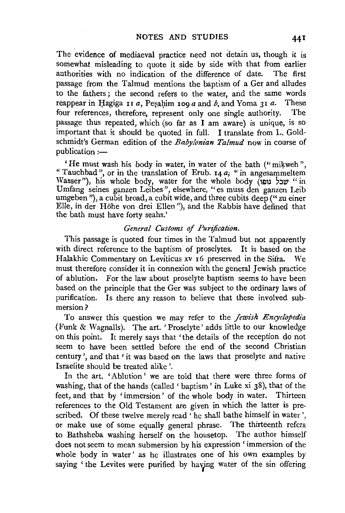The evidence of mediaeval practice need not detain us, though it is somewhat misleading to quote it side by side with that from earlier authorities with no indication of the difference of date. The first passage from the Talmud mentions the baptism of a Ger and alludes to the fathers ; the second refers to the water, and the same words reappear in Hagiga  $\overline{11}a$ , Pesahim  $\overline{10}a$  and *b*, and Yoma 3 I *a*. These four references, therefore, represent only one single authority. The four references, therefore, represent only one single authority. passage thus repeated, which (so far as I am aware) is unique, is so important that it should be quoted in full. I translate from L. Goldschmidt's German edition of the *Babylonian Talmud* now in course of publication :-

'He must wash his body in water, in water of the bath ("mikweh", "Tauchbad", or in the translation of Erub. 14  $a_i$ , "in angesammeltem Wasser"), his whole body, water for the whole body (שכל נופו $\cdot$  "in Umfang seines ganzen Leibes", elsewhere, "es muss den ganzen Leib umgeben "), a cubit broad, a cubit wide, and three cubits deep ("zu einer Elle, in der Hohe von drei Ellen"), and the Rabbis have defined that the bath must have forty seahs.'

### *General Customs of Purification.*

This passage is quoted four times in the Talmud but not apparently with direct reference to the baptism of proselytes. It is based on the Halakhic Commentary on Leviticus xv 16 preserved in the Sifra. We must therefore consider it in connexion with the general Jewish practice of ablution. For the law about proselyte baptism seems to have been based on the principle that the Ger was subject to the ordinary laws of purification. Is there any reason to believe that these involved submersion?

To answer this question we may refer to the *Jewish Encyclopedia* (Funk & Wagnalls). The art. 'Proselyte' adds little to our knowledge on this point. It merely says that 'the details of the reception do not seem to have been settled before the end of the second Christian century', and that 'it was based on the laws that proselyte and native Israelite should be treated alike'.

In the art. 'Ablution' we are told that there were three forms of washing, that of the hands (called' baptism' in Luke xi 38), that of the feet, and that by 'immersion' of the whole body in water. Thirteen references to the Old Testament are given in which the latter is prescribed. Of these twelve merely read ' he shall bathe himself in water ', or make use of some equally general phrase. The thirteenth refers to Bathsheba washing herself on the housetop. The author himself does not seem to mean submersion by his expression ' immersion of the whole body in water' as he illustrates one of his own examples by saying 'the Levites were purified by havjng water of the sin offering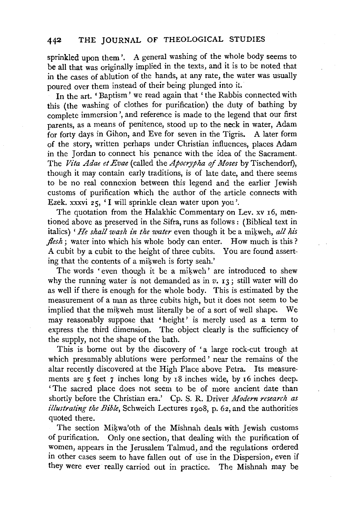sprinkled upon them '. A general washing of the whole body seems to be all that was originally implied in the texts, and it is to be noted that in the cases of ablution of the hands, at any rate, the water was usually poured over them instead of their being plunged into it.

In the art. 'Baptism' we read again that ' the Rabbis connected with this (the washing of clothes for purification) the duty of bathing by complete immersion', and reference is made to the legend that our first parents, as a means of penitence, stood up to the neck in water, Adam for forty days in Gihon, and Eve for seven in the Tigris. A later form of the story, written perhaps under Christian influences, places Adam in the Jordan to connect his penance with the idea of the Sacrament. The *Vita Adae et Evae* (called the *Apocrypha of Moses* by Tischendorf), though it may contain early traditions, is of late date, and there seems to be no real connexion between this legend and the earlier Jewish customs of purification which the author of the article connects with Ezek. xxxvi 25, 'I will sprinkle clean water upon you'.

The quotation from the Halakhic Commentary on Lev. xv 16, mentioned above as preserved in the Sifra, runs as follows: (Biblical text in italics) *'He shall wash in the water* even though it be a mikweh, *all his flesh*; water into which his whole body can enter. How much is this? A cubit by a cubit to the height of three cubits. You are found asserting that the contents of a mikweh is forty seah.'

The words 'even though it be a mikweh' are introduced to shew why the running water is not demanded as in  $v$ .  $r_3$ ; still water will do as well if there is enough for the whole body. This is estimated by the measurement of a man as three cubits high, but it does not seem to be implied that the mikweh must literally be of a sort of well shape. We may reasonably suppose that 'height' is merely used as a term to express the third dimension. The object clearly is the sufficiency of the supply, not the shape of the bath.

This is borne out by the discovery of 'a large rock-cut trough at which presumably ablutions were performed' near the remains of the altar recently discovered at the High Place above Petra. Its measurements are 5 feet 7 inches long by 18 inches wide, by 16 inches deep. ' The sacred place does not seem to be of more ancient date than shortly before the Christian era.' Cp. S. R. Driver *Modern research as illustrating the Bible,* Schweich Lectures rgo8, p. 62, and the authorities quoted there.

The section Mikwa'oth of the Mishnah deals with Jewish customs of purification. Only one section, that dealing with the purification of women, appears in the Jerusalem Talmud, and the regulations ordered in other cases seem to have fallen out of use in the Dispersion, even if they were ever really carried out in practice. The Mishnah may be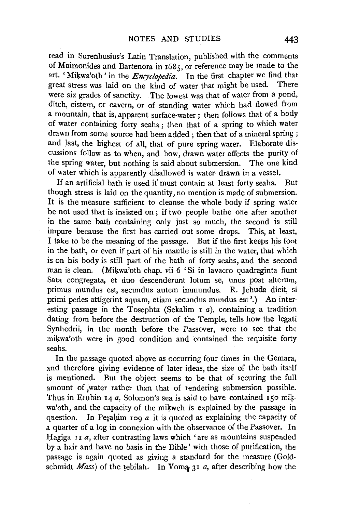read in Surenhusius's Latin Translation, published with the comments of Maimonides and Bartenora in 168s, or reference may be made to the art. 'Mikwa'oth' in the *Encyclopedia*. In the first chapter we find that great stress was laid on the kind of water that might be used. There were six grades of sanctity. The lowest was that of water from a pond, ditch, cistern, or cavern, or of standing water which had flowed from a mountain, that is, apparent surface-water ; then follows that of a body of water containing forty seahs ; then that of a spring to which water drawn from some source had been added; then that of a mineral spring; and Jast, the highest of all, that of pure spring water. Elaborate discussions follow as to when, and how, drawn water affects the purity of the spring water, but nothing is said about submersion. The one kind of water which is apparently disallowed is water drawn in a vessel.

If an artificial bath is used it' must contain at least forty seahs. But though stress is laid on the quantity, no mention is made of submersion. It is the measure sufficient to cleanse the whole body if spring water be not used that is insisted on ; if two people bathe one after another in the same bath containing only just so much, the second is still impure because the first has carried out some drops. This, at least, I take to be the meaning of the passage. But if the first keeps his foot in the bath, or even if part of his mantle is still in the water, that which is on his body is still part of the bath of forty seahs, and the second man is clean. (Mikwa'oth chap. vii 6 'Si in lavacro quadraginta fiunt Sata congregata, et duo descenderunt lotum se, unus post alterum, primus mundus est, secundus autem immundus. R. Jehuda dicit, si primi pedes attigerint aquam, etiam secundus mundus est'.) An interesting passage in the Tosephta (Sekalim  $\overline{1}a$ ), containing a tradition dating from before the destruction of the Temple, tells how the legati Synhedrii, in the month before the Passover, were to see that the mikwa'oth were in good condition and contained the requisite forty seahs.

In the passage quoted above as occurring four times in the Gemara, and therefore giving evidence of later ideas, the size of the bath itself is mentioned. But the object seems to be that of securing the full amount of ;water rather than that of rendering submersion possible. Thus in Erubin 14 *a*, Solomon's sea is said to have contained 150 mikwa'oth, and the capacity of the mikweh is explained by the passage in question. In Pesahim  $\log a$  it is quoted as explaining the capacity of a quarter of a log in connexion with the observance of the Passover. In Hagiga II *a*, after contrasting laws which 'are as mountains suspended by a hair and have no basis in the Bible' with those of purification, the passage is again quoted as giving a standard for the measure (Goldschmidt *Mass)* of the tebilah. In Yoma, 31 *a,* after describing how the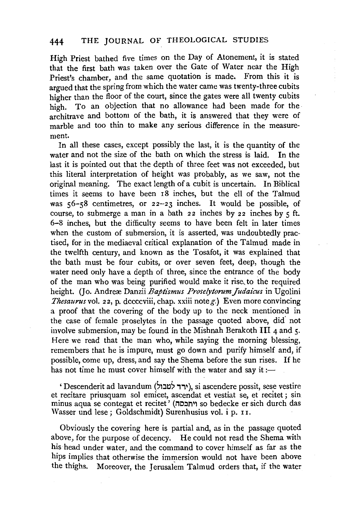High Priest bathed five times on the Day of Atonement, it is stated that the first bath was taken over the Gate of Water near the High Priest's chamber, and the same quotation is made. From this it is argued that the spring from which the water came was twenty-three cubits higher than the floor of the court, since the gates were all twenty cubits high. To an objection that no allowance had been made for the architrave and bottom of the bath, it is answered that they were of marble and too thin to make any serious difference in the measurement.

In all these cases, except possibly the last, it is the quantity of the water and not the size of the bath on which the stress is laid. In the last it is pointed out that the depth of three feet was not exceeded, but this literal interpretation of height was probably, as we saw, not the original meaning. The exact length of a cubit is uncertain. In Biblical times it seems to have been 18 inches, but the ell of the Talmud was  $56-\frac{5}{8}$  centimetres, or  $22-23$  inches. It would be possible, of course, to submerge a man in a bath  $22$  inches by  $22$  inches by  $5$  ft. 6-8 inches, but the difficulty seems to have been felt in later times when the custom of submersion, it is asserted, was undoubtedly practised, for in the mediaeval critical explanation of the Talmud made in the twelfth century, and known as the Tosafot, it was explained that the bath must be four cubits, or over seven feet, deep, though the water need only have a depth of three, since the entrance of the body of the man who was being purified would make it rise, to the required height. (Jo. Andrex Danzii *Baptismus Proselytorum Judaicus* in Ugolini *Thesaurus* vol. 22, p. dccccviii, chap. xxiii note g.) Even more convincing a proof that the covering of the body up to the neck mentioned in the case of female proselytes in the passage quoted above, did' not involve submersion, may be found in the Mishnah Berakoth III  $_4$  and  $_5$ . Here we read that the man who, while saying the morning blessing, remembers that he is impure, must go down and purify himself and, if possible, come up, dress, and say the Shema before the sun rises. If he has not time he must cover himself with the water and say it:—

' Descenderit ad lavandum (ירד למבול), si ascendere possit, sese vestire et recitare priusquam sol emicet, ascendat et vestiat se, et recitet; sin minus aqua se contegat et recitet ' (MO.'JT"ll' so bedecke er sich durch das Wasser und lese; Goldschmidt) Surenhusius vol. i p. 11.

Obviously the covering here is partial and, as in the passage quoted above, for the purpose of decency. He could not read the Shema with his head under water, and the command to cover himself as far as the hips implies that otherwise the immersion would not have been above the thighs. Moreover, the Jerusalem Talmud orders that, if the water